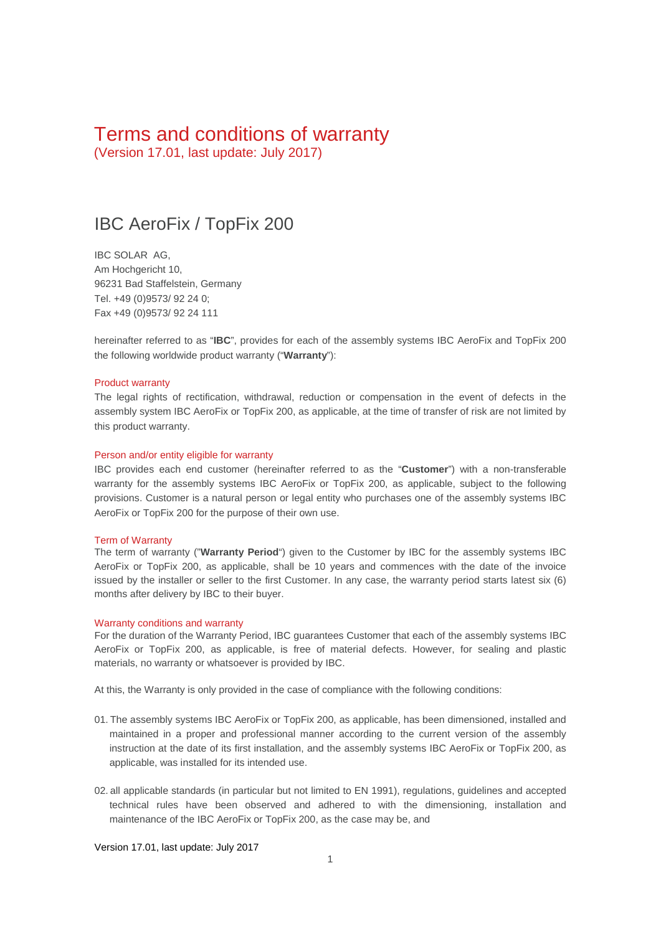# Terms and conditions of warranty

(Version 17.01, last update: July 2017)

## IBC AeroFix / TopFix 200

IBC SOLAR AG, Am Hochgericht 10, 96231 Bad Staffelstein, Germany Tel. +49 (0)9573/ 92 24 0; Fax +49 (0)9573/ 92 24 111

hereinafter referred to as "**IBC**", provides for each of the assembly systems IBC AeroFix and TopFix 200 the following worldwide product warranty ("**Warranty**"):

#### Product warranty

The legal rights of rectification, withdrawal, reduction or compensation in the event of defects in the assembly system IBC AeroFix or TopFix 200, as applicable, at the time of transfer of risk are not limited by this product warranty.

#### Person and/or entity eligible for warranty

IBC provides each end customer (hereinafter referred to as the "**Customer**") with a non-transferable warranty for the assembly systems IBC AeroFix or TopFix 200, as applicable, subject to the following provisions. Customer is a natural person or legal entity who purchases one of the assembly systems IBC AeroFix or TopFix 200 for the purpose of their own use.

#### Term of Warranty

The term of warranty ("**Warranty Period**") given to the Customer by IBC for the assembly systems IBC AeroFix or TopFix 200, as applicable, shall be 10 years and commences with the date of the invoice issued by the installer or seller to the first Customer. In any case, the warranty period starts latest six (6) months after delivery by IBC to their buyer.

#### Warranty conditions and warranty

For the duration of the Warranty Period, IBC guarantees Customer that each of the assembly systems IBC AeroFix or TopFix 200, as applicable, is free of material defects. However, for sealing and plastic materials, no warranty or whatsoever is provided by IBC.

At this, the Warranty is only provided in the case of compliance with the following conditions:

- 01. The assembly systems IBC AeroFix or TopFix 200, as applicable, has been dimensioned, installed and maintained in a proper and professional manner according to the current version of the assembly instruction at the date of its first installation, and the assembly systems IBC AeroFix or TopFix 200, as applicable, was installed for its intended use.
- 02. all applicable standards (in particular but not limited to EN 1991), regulations, guidelines and accepted technical rules have been observed and adhered to with the dimensioning, installation and maintenance of the IBC AeroFix or TopFix 200, as the case may be, and

Version 17.01, last update: July 2017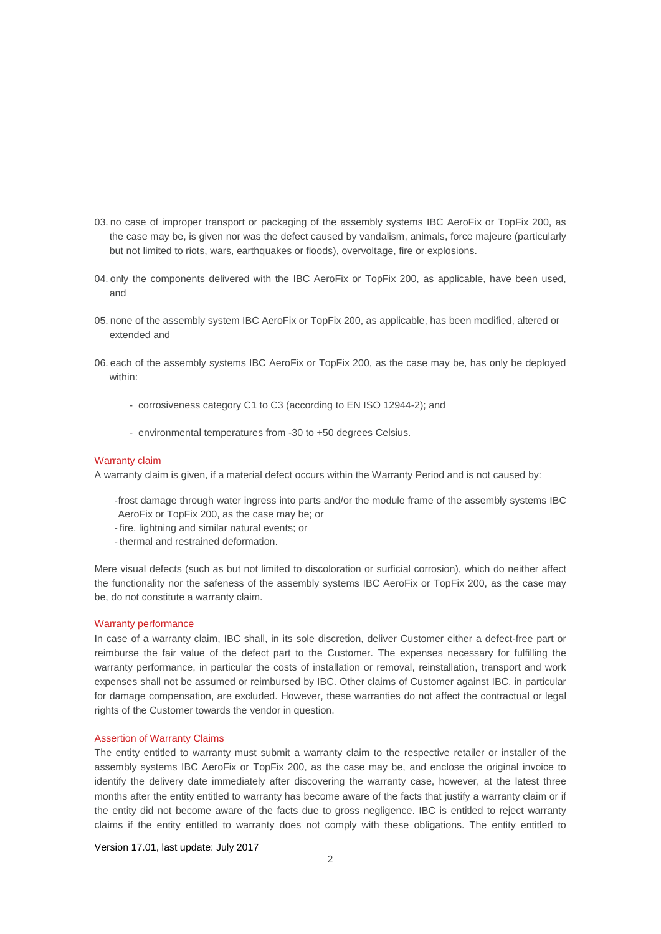- 03. no case of improper transport or packaging of the assembly systems IBC AeroFix or TopFix 200, as the case may be, is given nor was the defect caused by vandalism, animals, force majeure (particularly but not limited to riots, wars, earthquakes or floods), overvoltage, fire or explosions.
- 04. only the components delivered with the IBC AeroFix or TopFix 200, as applicable, have been used, and
- 05. none of the assembly system IBC AeroFix or TopFix 200, as applicable, has been modified, altered or extended and
- 06. each of the assembly systems IBC AeroFix or TopFix 200, as the case may be, has only be deployed within:
	- corrosiveness category C1 to C3 (according to EN ISO 12944-2); and
	- environmental temperatures from -30 to +50 degrees Celsius.

#### Warranty claim

A warranty claim is given, if a material defect occurs within the Warranty Period and is not caused by:

- -frost damage through water ingress into parts and/or the module frame of the assembly systems IBC AeroFix or TopFix 200, as the case may be; or
- fire, lightning and similar natural events; or
- thermal and restrained deformation.

Mere visual defects (such as but not limited to discoloration or surficial corrosion), which do neither affect the functionality nor the safeness of the assembly systems IBC AeroFix or TopFix 200, as the case may be, do not constitute a warranty claim.

#### Warranty performance

In case of a warranty claim, IBC shall, in its sole discretion, deliver Customer either a defect-free part or reimburse the fair value of the defect part to the Customer. The expenses necessary for fulfilling the warranty performance, in particular the costs of installation or removal, reinstallation, transport and work expenses shall not be assumed or reimbursed by IBC. Other claims of Customer against IBC, in particular for damage compensation, are excluded. However, these warranties do not affect the contractual or legal rights of the Customer towards the vendor in question.

#### Assertion of Warranty Claims

The entity entitled to warranty must submit a warranty claim to the respective retailer or installer of the assembly systems IBC AeroFix or TopFix 200, as the case may be, and enclose the original invoice to identify the delivery date immediately after discovering the warranty case, however, at the latest three months after the entity entitled to warranty has become aware of the facts that justify a warranty claim or if the entity did not become aware of the facts due to gross negligence. IBC is entitled to reject warranty claims if the entity entitled to warranty does not comply with these obligations. The entity entitled to

Version 17.01, last update: July 2017